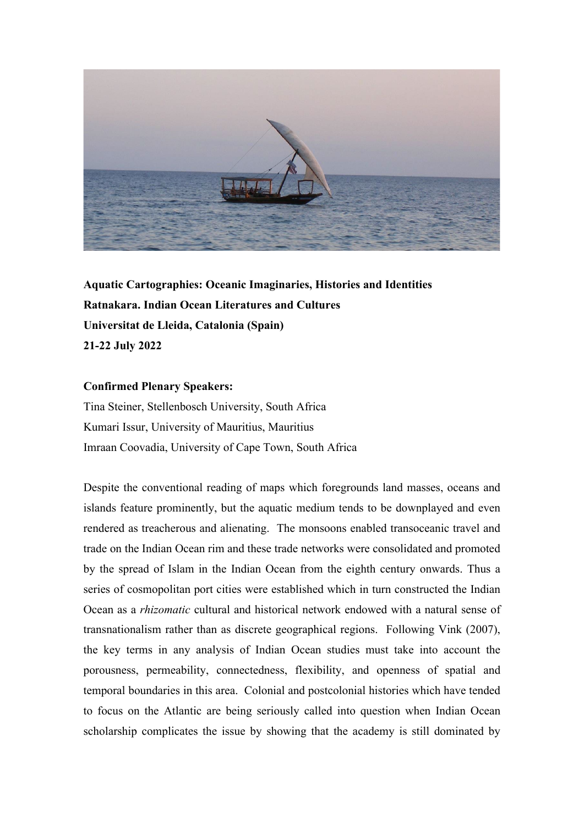

**Aquatic Cartographies: Oceanic Imaginaries, Histories and Identities Ratnakara. Indian Ocean Literatures and Cultures Universitat de Lleida, Catalonia (Spain) 21-22 July 2022**

## **Confirmed Plenary Speakers:**

Tina Steiner, Stellenbosch University, South Africa Kumari Issur, University of Mauritius, Mauritius Imraan Coovadia, University of Cape Town, South Africa

Despite the conventional reading of maps which foregrounds land masses, oceans and islands feature prominently, but the aquatic medium tends to be downplayed and even rendered as treacherous and alienating. The monsoons enabled transoceanic travel and trade on the Indian Ocean rim and these trade networks were consolidated and promoted by the spread of Islam in the Indian Ocean from the eighth century onwards. Thus a series of cosmopolitan port cities were established which in turn constructed the Indian Ocean as a *rhizomatic* cultural and historical network endowed with a natural sense of transnationalism rather than as discrete geographical regions. Following Vink (2007), the key terms in any analysis of Indian Ocean studies must take into account the porousness, permeability, connectedness, flexibility, and openness of spatial and temporal boundaries in this area. Colonial and postcolonial histories which have tended to focus on the Atlantic are being seriously called into question when Indian Ocean scholarship complicates the issue by showing that the academy is still dominated by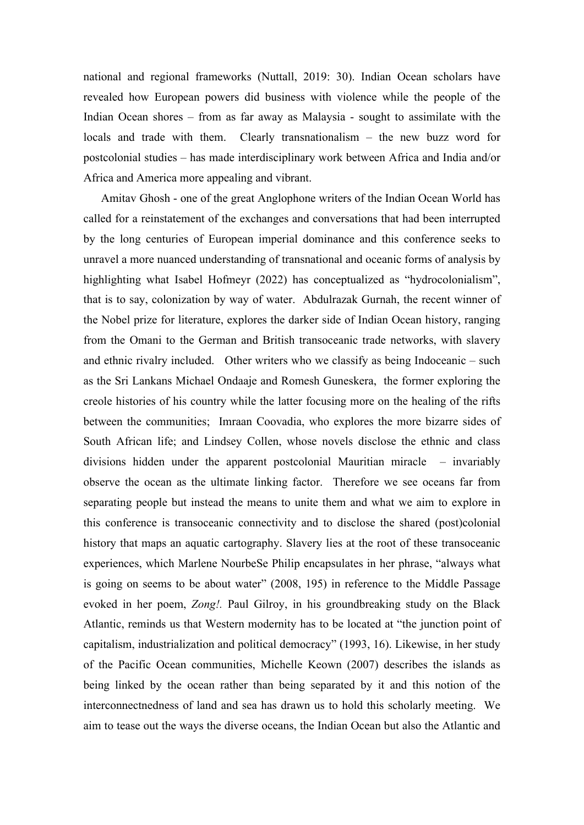national and regional frameworks (Nuttall, 2019: 30). Indian Ocean scholars have revealed how European powers did business with violence while the people of the Indian Ocean shores – from as far away as Malaysia - sought to assimilate with the locals and trade with them. Clearly transnationalism – the new buzz word for postcolonial studies – has made interdisciplinary work between Africa and India and/or Africa and America more appealing and vibrant.

Amitav Ghosh - one of the great Anglophone writers of the Indian Ocean World has called for a reinstatement of the exchanges and conversations that had been interrupted by the long centuries of European imperial dominance and this conference seeks to unravel a more nuanced understanding of transnational and oceanic forms of analysis by highlighting what Isabel Hofmeyr (2022) has conceptualized as "hydrocolonialism", that is to say, colonization by way of water. Abdulrazak Gurnah, the recent winner of the Nobel prize for literature, explores the darker side of Indian Ocean history, ranging from the Omani to the German and British transoceanic trade networks, with slavery and ethnic rivalry included. Other writers who we classify as being Indoceanic – such as the Sri Lankans Michael Ondaaje and Romesh Guneskera, the former exploring the creole histories of his country while the latter focusing more on the healing of the rifts between the communities; Imraan Coovadia, who explores the more bizarre sides of South African life; and Lindsey Collen, whose novels disclose the ethnic and class divisions hidden under the apparent postcolonial Mauritian miracle – invariably observe the ocean as the ultimate linking factor. Therefore we see oceans far from separating people but instead the means to unite them and what we aim to explore in this conference is transoceanic connectivity and to disclose the shared (post)colonial history that maps an aquatic cartography. Slavery lies at the root of these transoceanic experiences, which Marlene NourbeSe Philip encapsulates in her phrase, "always what is going on seems to be about water" (2008, 195) in reference to the Middle Passage evoked in her poem, *Zong!.* Paul Gilroy, in his groundbreaking study on the Black Atlantic, reminds us that Western modernity has to be located at "the junction point of capitalism, industrialization and political democracy" (1993, 16). Likewise, in her study of the Pacific Ocean communities, Michelle Keown (2007) describes the islands as being linked by the ocean rather than being separated by it and this notion of the interconnectnedness of land and sea has drawn us to hold this scholarly meeting. We aim to tease out the ways the diverse oceans, the Indian Ocean but also the Atlantic and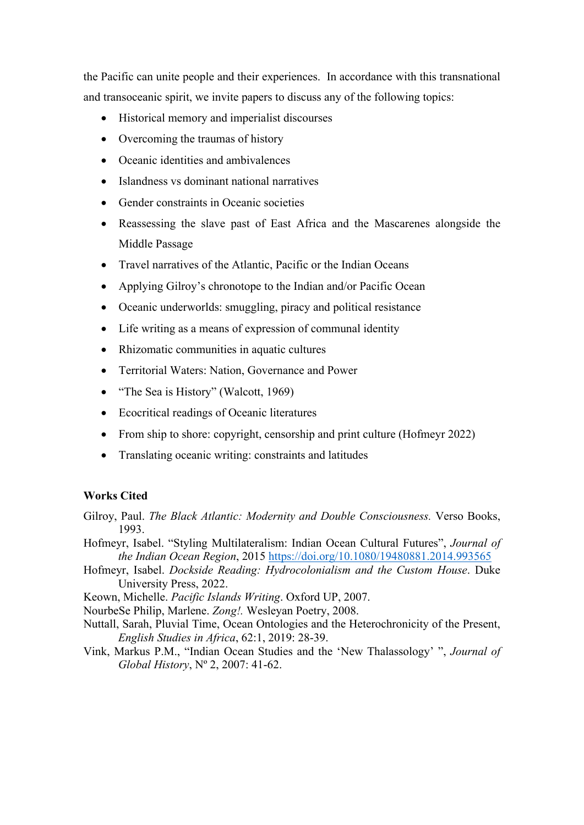the Pacific can unite people and their experiences. In accordance with this transnational and transoceanic spirit, we invite papers to discuss any of the following topics:

- Historical memory and imperialist discourses
- Overcoming the traumas of history
- Oceanic identities and ambivalences
- Islandness vs dominant national narratives
- Gender constraints in Oceanic societies
- Reassessing the slave past of East Africa and the Mascarenes alongside the Middle Passage
- Travel narratives of the Atlantic, Pacific or the Indian Oceans
- Applying Gilroy's chronotope to the Indian and/or Pacific Ocean
- Oceanic underworlds: smuggling, piracy and political resistance
- Life writing as a means of expression of communal identity
- Rhizomatic communities in aquatic cultures
- Territorial Waters: Nation, Governance and Power
- "The Sea is History" (Walcott, 1969)
- Ecocritical readings of Oceanic literatures
- From ship to shore: copyright, censorship and print culture (Hofmeyr 2022)
- Translating oceanic writing: constraints and latitudes

## **Works Cited**

- Gilroy, Paul. *The Black Atlantic: Modernity and Double Consciousness.* Verso Books, 1993.
- Hofmeyr, Isabel. "Styling Multilateralism: Indian Ocean Cultural Futures", *Journal of the Indian Ocean Region*, 2015 <https://doi.org/10.1080/19480881.2014.993565>
- Hofmeyr, Isabel. *Dockside Reading: Hydrocolonialism and the Custom House*. Duke University Press, 2022.
- Keown, Michelle. *Pacific Islands Writing*. Oxford UP, 2007.
- NourbeSe Philip, Marlene. *Zong!.* Wesleyan Poetry, 2008.
- Nuttall, Sarah, Pluvial Time, Ocean Ontologies and the Heterochronicity of the Present, *English Studies in Africa*, 62:1, 2019: 28-39.
- Vink, Markus P.M., "Indian Ocean Studies and the 'New Thalassology' ", *Journal of Global History*, Nº 2, 2007: 41-62.